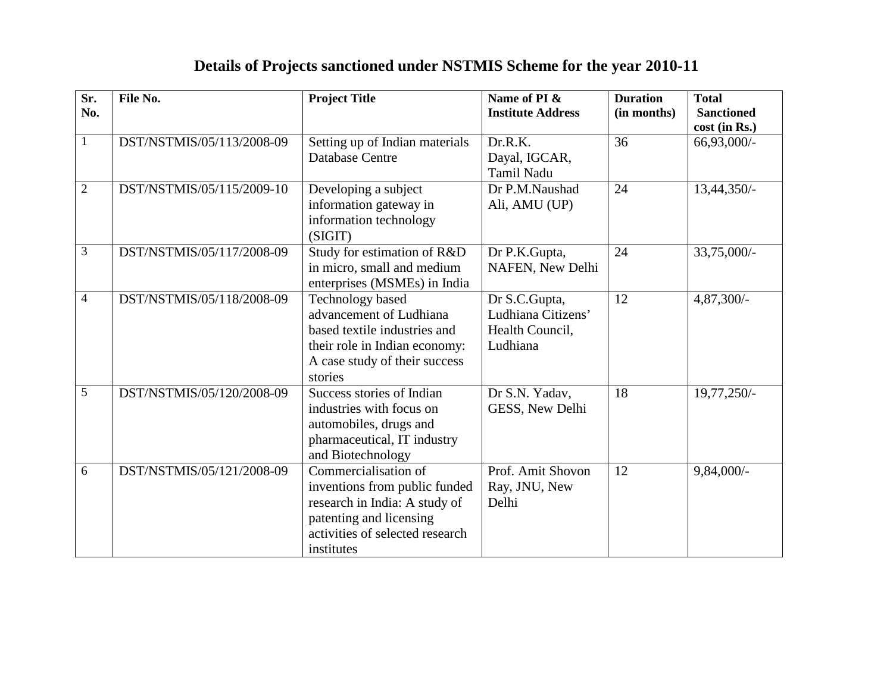| Sr.<br>No.     | File No.                  | <b>Project Title</b>                                                                                                                                               | Name of PI &<br><b>Institute Address</b>                           | <b>Duration</b><br>(in months) | <b>Total</b><br><b>Sanctioned</b><br>cost (in Rs.) |
|----------------|---------------------------|--------------------------------------------------------------------------------------------------------------------------------------------------------------------|--------------------------------------------------------------------|--------------------------------|----------------------------------------------------|
| $\mathbf{1}$   | DST/NSTMIS/05/113/2008-09 | Setting up of Indian materials<br><b>Database Centre</b>                                                                                                           | Dr.R.K.<br>Dayal, IGCAR,<br><b>Tamil Nadu</b>                      | 36                             | 66,93,000/-                                        |
| $\sqrt{2}$     | DST/NSTMIS/05/115/2009-10 | Developing a subject<br>information gateway in<br>information technology<br>(SIGIT)                                                                                | Dr P.M.Naushad<br>Ali, AMU (UP)                                    | 24                             | 13,44,350/-                                        |
| $\mathfrak{Z}$ | DST/NSTMIS/05/117/2008-09 | Study for estimation of R&D<br>in micro, small and medium<br>enterprises (MSMEs) in India                                                                          | Dr P.K.Gupta,<br>NAFEN, New Delhi                                  | 24                             | 33,75,000/-                                        |
| $\overline{4}$ | DST/NSTMIS/05/118/2008-09 | <b>Technology</b> based<br>advancement of Ludhiana<br>based textile industries and<br>their role in Indian economy:<br>A case study of their success<br>stories    | Dr S.C.Gupta,<br>Ludhiana Citizens'<br>Health Council,<br>Ludhiana | 12                             | 4,87,300/-                                         |
| 5              | DST/NSTMIS/05/120/2008-09 | Success stories of Indian<br>industries with focus on<br>automobiles, drugs and<br>pharmaceutical, IT industry<br>and Biotechnology                                | Dr S.N. Yadav,<br>GESS, New Delhi                                  | 18                             | 19,77,250/-                                        |
| 6              | DST/NSTMIS/05/121/2008-09 | Commercialisation of<br>inventions from public funded<br>research in India: A study of<br>patenting and licensing<br>activities of selected research<br>institutes | Prof. Amit Shovon<br>Ray, JNU, New<br>Delhi                        | 12                             | $9,84,000/-$                                       |

## **Details of Projects sanctioned under NSTMIS Scheme for the year 2010-11**